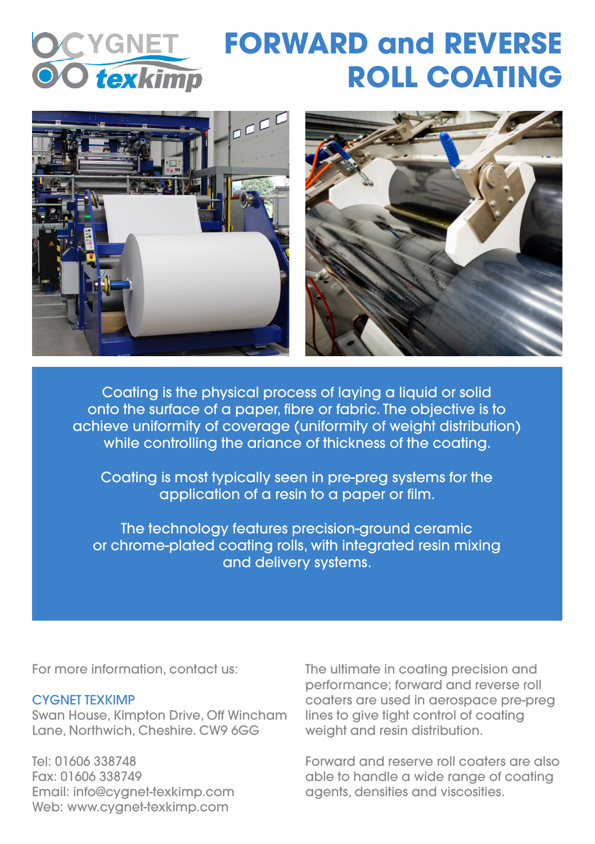

## **FORWARD and REVERSE ROLL COATING**



Coating is the physical process of laying a liquid or solid onto the surface of a paper, fibre or fabric. The objective is to achieve uniformity of coverage (uniformity of weight distribution) while controlling the ariance of thickness of the coating.

Coating is most typically seen in pre-preg systems for the application of a resin to a paper or film.

The technology features precision-ground ceramic or chrome-plated coating rolls, with integrated resin mixing and delivery systems.

For more information, contact us:

## CYGNET TEXKIMP

Swan House, Kimpton Drive, Off Wincham Lane, Northwich, Cheshire. CW9 6GG

Tel: 01606 338748 Fax: 01606 338749 Email: info@cygnet-texkimp.com Web: www.cvanet-texkimp.com

The ultimate in coating precision and performance; forward and reverse roll coaters are used in aerospace pre-preg lines to give tight control of coating weight and resin distribution.

Forward and reserve roll coaters are also able to handle a wide range of coating agents, densities and viscosities.